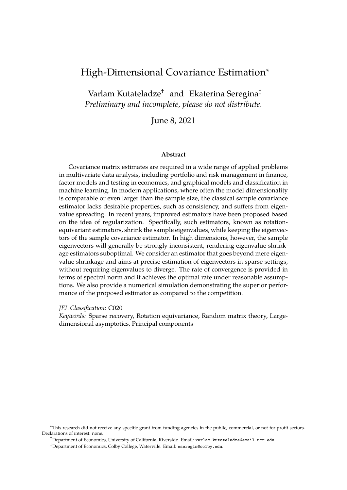# High-Dimensional Covariance Estimation<sup>∗</sup>

Varlam Kutateladze† and Ekaterina Seregina‡ *Preliminary and incomplete, please do not distribute.*

June 8, 2021

#### **Abstract**

Covariance matrix estimates are required in a wide range of applied problems in multivariate data analysis, including portfolio and risk management in finance, factor models and testing in economics, and graphical models and classification in machine learning. In modern applications, where often the model dimensionality is comparable or even larger than the sample size, the classical sample covariance estimator lacks desirable properties, such as consistency, and suffers from eigenvalue spreading. In recent years, improved estimators have been proposed based on the idea of regularization. Specifically, such estimators, known as rotationequivariant estimators, shrink the sample eigenvalues, while keeping the eigenvectors of the sample covariance estimator. In high dimensions, however, the sample eigenvectors will generally be strongly inconsistent, rendering eigenvalue shrinkage estimators suboptimal. We consider an estimator that goes beyond mere eigenvalue shrinkage and aims at precise estimation of eigenvectors in sparse settings, without requiring eigenvalues to diverge. The rate of convergence is provided in terms of spectral norm and it achieves the optimal rate under reasonable assumptions. We also provide a numerical simulation demonstrating the superior performance of the proposed estimator as compared to the competition.

*JEL Classification:* C020

*Keywords:* Sparse recovery, Rotation equivariance, Random matrix theory, Largedimensional asymptotics, Principal components

<sup>∗</sup>This research did not receive any specific grant from funding agencies in the public, commercial, or not-for-profit sectors. Declarations of interest: none.

<sup>†</sup>Department of Economics, University of California, Riverside. Email: varlam.kutateladze@email.ucr.edu.

<sup>‡</sup>Department of Economics, Colby College, Waterville. Email: eseregin@colby.edu.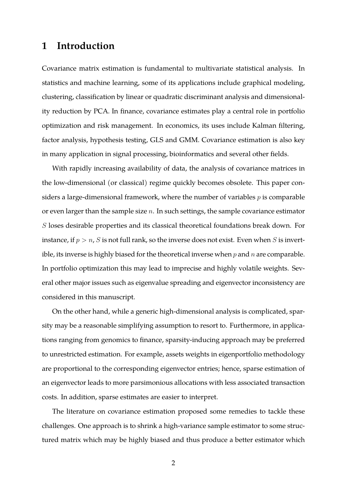# **1 Introduction**

Covariance matrix estimation is fundamental to multivariate statistical analysis. In statistics and machine learning, some of its applications include graphical modeling, clustering, classification by linear or quadratic discriminant analysis and dimensionality reduction by PCA. In finance, covariance estimates play a central role in portfolio optimization and risk management. In economics, its uses include Kalman filtering, factor analysis, hypothesis testing, GLS and GMM. Covariance estimation is also key in many application in signal processing, bioinformatics and several other fields.

With rapidly increasing availability of data, the analysis of covariance matrices in the low-dimensional (or classical) regime quickly becomes obsolete. This paper considers a large-dimensional framework, where the number of variables  $p$  is comparable or even larger than the sample size  $n$ . In such settings, the sample covariance estimator S loses desirable properties and its classical theoretical foundations break down. For instance, if  $p > n$ , S is not full rank, so the inverse does not exist. Even when S is invertible, its inverse is highly biased for the theoretical inverse when  $p$  and  $n$  are comparable. In portfolio optimization this may lead to imprecise and highly volatile weights. Several other major issues such as eigenvalue spreading and eigenvector inconsistency are considered in this manuscript.

On the other hand, while a generic high-dimensional analysis is complicated, sparsity may be a reasonable simplifying assumption to resort to. Furthermore, in applications ranging from genomics to finance, sparsity-inducing approach may be preferred to unrestricted estimation. For example, assets weights in eigenportfolio methodology are proportional to the corresponding eigenvector entries; hence, sparse estimation of an eigenvector leads to more parsimonious allocations with less associated transaction costs. In addition, sparse estimates are easier to interpret.

The literature on covariance estimation proposed some remedies to tackle these challenges. One approach is to shrink a high-variance sample estimator to some structured matrix which may be highly biased and thus produce a better estimator which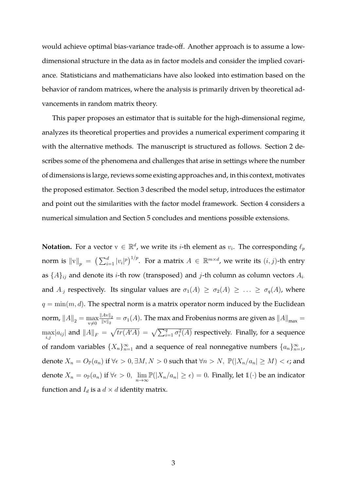would achieve optimal bias-variance trade-off. Another approach is to assume a lowdimensional structure in the data as in factor models and consider the implied covariance. Statisticians and mathematicians have also looked into estimation based on the behavior of random matrices, where the analysis is primarily driven by theoretical advancements in random matrix theory.

This paper proposes an estimator that is suitable for the high-dimensional regime, analyzes its theoretical properties and provides a numerical experiment comparing it with the alternative methods. The manuscript is structured as follows. Section 2 describes some of the phenomena and challenges that arise in settings where the number of dimensions is large, reviews some existing approaches and, in this context, motivates the proposed estimator. Section 3 described the model setup, introduces the estimator and point out the similarities with the factor model framework. Section 4 considers a numerical simulation and Section 5 concludes and mentions possible extensions.

**Notation.** For a vector  $v \in \mathbb{R}^d$ , we write its *i*-th element as  $v_i$ . The corresponding  $\ell_p$ norm is  $\|{\rm v}\|_p~=~\big(\sum_{i=1}^d |v_i|^p\big)^{1/p}.$  For a matrix  $A\, \in\, \mathbb{R}^{m\times d}$ , we write its  $(i,j)$ -th entry as  $\{A\}_{ij}$  and denote its *i*-th row (transposed) and *j*-th column as column vectors  $A_i$ . and  $A_{.j}$  respectively. Its singular values are  $\sigma_1(A) \geq \sigma_2(A) \geq \ldots \geq \sigma_q(A)$ , where  $q = \min(m, d)$ . The spectral norm is a matrix operator norm induced by the Euclidean norm,  $\left\| A \right\|_2 = \max\limits_{\text{v}\neq 0}$  $\left\Vert Av\right\Vert _{2}$  $\frac{|Av||_2}{||v||_2} = \sigma_1(A)$ . The max and Frobenius norms are given as  $||A||_{max} =$  $\max_{i,j} |a_{ij}|$  and  $||A||_F = \sqrt{tr(A'A)} = \sqrt{\sum_{i=1}^q \sigma_i^2(A)}$  respectively. Finally, for a sequence of random variables  $\{X_n\}_{n=1}^{\infty}$  and a sequence of real nonnegative numbers  $\{a_n\}_{n=1}^{\infty}$ , denote  $X_n = O_{\mathbb{P}}(a_n)$  if  $\forall \epsilon > 0, \exists M, N > 0$  such that  $\forall n > N$ ,  $\mathbb{P}(|X_n/a_n| \ge M) < \epsilon$ ; and denote  $X_n = o_\mathbb{P}(a_n)$  if  $\forall \epsilon > 0$ ,  $\lim_{n \to \infty} \mathbb{P}(|X_n/a_n| \geq \epsilon) = 0$ . Finally, let  $\mathbb{1}(\cdot)$  be an indicator function and  $I_d$  is a  $d \times d$  identity matrix.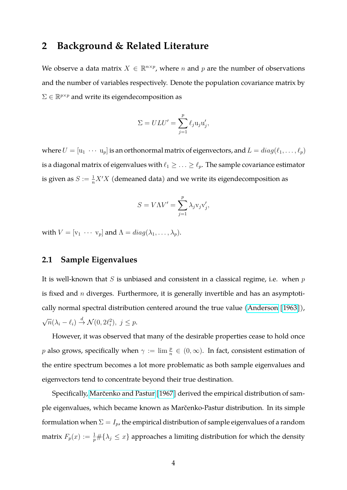# **2 Background & Related Literature**

We observe a data matrix  $X \in \mathbb{R}^{n \times p}$ , where n and p are the number of observations and the number of variables respectively. Denote the population covariance matrix by  $\Sigma \in \mathbb{R}^{p \times p}$  and write its eigendecomposition as

$$
\Sigma = ULU' = \sum_{j=1}^p \ell_j \mathbf{u}_j \mathbf{u}'_j,
$$

where  $U = [\mathbf{u}_1 \cdots \mathbf{u}_p]$  is an orthonormal matrix of eigenvectors, and  $L = diag(\ell_1, \ldots, \ell_p)$ is a diagonal matrix of eigenvalues with  $\ell_1 \geq \ldots \geq \ell_p$ . The sample covariance estimator is given as  $S := \frac{1}{n} X' X$  (demeaned data) and we write its eigendecomposition as

$$
S = V\Lambda V' = \sum_{j=1}^{p} \lambda_j \mathbf{v}_j \mathbf{v}'_j,
$$

with  $V = [v_1 \cdots v_p]$  and  $\Lambda = diag(\lambda_1, \ldots, \lambda_p)$ .

### **2.1 Sample Eigenvalues**

It is well-known that  $S$  is unbiased and consistent in a classical regime, i.e. when  $p$ is fixed and  $n$  diverges. Furthermore, it is generally invertible and has an asymptotically normal spectral distribution centered around the true value [\(Anderson](#page-26-0) [\[1963\]](#page-26-0)), √  $\overline{n}(\lambda_i - \ell_i) \stackrel{d}{\rightarrow} \mathcal{N}(0, 2\ell_i^2), \ j \leq p.$ 

However, it was observed that many of the desirable properties cease to hold once p also grows, specifically when  $\gamma := \lim_{n \to \infty} \frac{p}{n} \in (0, \infty)$ . In fact, consistent estimation of the entire spectrum becomes a lot more problematic as both sample eigenvalues and eigenvectors tend to concentrate beyond their true destination.

Specifically, Marčenko and Pastur [\[1967\]](#page-28-0) derived the empirical distribution of sample eigenvalues, which became known as Marčenko-Pastur distribution. In its simple formulation when  $\Sigma = I_p$ , the empirical distribution of sample eigenvalues of a random matrix  $F_p(x) := \frac{1}{p} \# \{ \lambda_j \leq x \}$  approaches a limiting distribution for which the density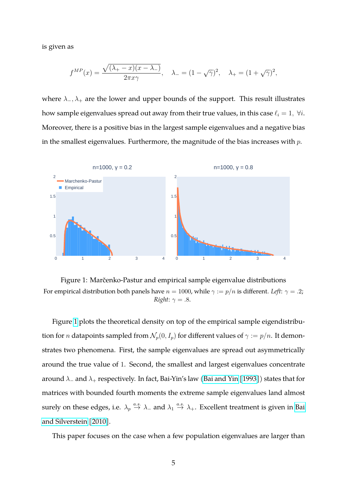is given as

$$
f^{MP}(x) = \frac{\sqrt{(\lambda_+ - x)(x - \lambda_-)}}{2\pi x\gamma}, \quad \lambda_- = (1 - \sqrt{\gamma})^2, \quad \lambda_+ = (1 + \sqrt{\gamma})^2,
$$

where  $\lambda_-, \lambda_+$  are the lower and upper bounds of the support. This result illustrates how sample eigenvalues spread out away from their true values, in this case  $\ell_i = 1$ ,  $\forall i$ . Moreover, there is a positive bias in the largest sample eigenvalues and a negative bias in the smallest eigenvalues. Furthermore, the magnitude of the bias increases with  $p$ .



<span id="page-4-0"></span>Figure 1: Marčenko-Pastur and empirical sample eigenvalue distributions For empirical distribution both panels have  $n = 1000$ , while  $\gamma := p/n$  is different. *Left*:  $\gamma = .2$ ; *Right*:  $\gamma = .8$ .

Figure [1](#page-4-0) plots the theoretical density on top of the empirical sample eigendistribution for *n* datapoints sampled from  $\mathcal{N}_p(0, I_p)$  for different values of  $\gamma := p/n$ . It demonstrates two phenomena. First, the sample eigenvalues are spread out asymmetrically around the true value of 1. Second, the smallest and largest eigenvalues concentrate around  $\lambda_-\$  and  $\lambda_+$  respectively. In fact, Bai-Yin's law [\(Bai and Yin](#page-26-1) [\[1993\]](#page-26-1)) states that for matrices with bounded fourth moments the extreme sample eigenvalues land almost surely on these edges, i.e.  $\lambda_p \stackrel{a.s.}{\to} \lambda_-$  and  $\lambda_1 \stackrel{a.s.}{\to} \lambda_+$ . Excellent treatment is given in [Bai](#page-26-2) [and Silverstein](#page-26-2) [\[2010\]](#page-26-2).

This paper focuses on the case when a few population eigenvalues are larger than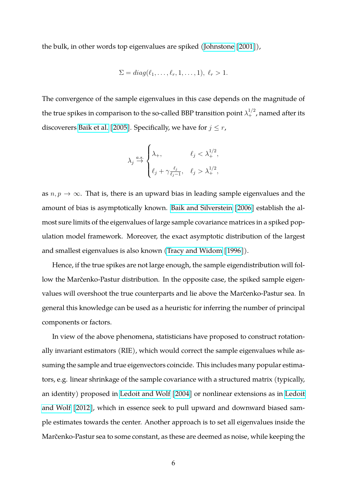the bulk, in other words top eigenvalues are spiked [\(Johnstone](#page-27-0) [\[2001\]](#page-27-0)),

$$
\Sigma = diag(\ell_1,\ldots,\ell_r,1,\ldots,1), \ell_r > 1.
$$

The convergence of the sample eigenvalues in this case depends on the magnitude of the true spikes in comparison to the so-called BBP transition point  $\lambda_+^{1/2}$ , named after its discoverers [Baik et al.](#page-26-3) [\[2005\]](#page-26-3). Specifically, we have for  $j \leq r$ ,

$$
\lambda_j \stackrel{a.s.}{\rightarrow} \begin{cases} \lambda_+, & \ell_j < \lambda_+^{1/2}, \\ \ell_j + \gamma \frac{\ell_j}{\ell_j - 1}, & \ell_j > \lambda_+^{1/2}, \end{cases}
$$

as  $n, p \rightarrow \infty$ . That is, there is an upward bias in leading sample eigenvalues and the amount of bias is asymptotically known. [Baik and Silverstein](#page-26-4) [\[2006\]](#page-26-4) establish the almost sure limits of the eigenvalues of large sample covariance matrices in a spiked population model framework. Moreover, the exact asymptotic distribution of the largest and smallest eigenvalues is also known [\(Tracy and Widom](#page-28-1) [\[1996\]](#page-28-1)).

Hence, if the true spikes are not large enough, the sample eigendistribution will follow the Marčenko-Pastur distribution. In the opposite case, the spiked sample eigenvalues will overshoot the true counterparts and lie above the Marcenko-Pastur sea. In general this knowledge can be used as a heuristic for inferring the number of principal components or factors.

In view of the above phenomena, statisticians have proposed to construct rotationally invariant estimators (RIE), which would correct the sample eigenvalues while assuming the sample and true eigenvectors coincide. This includes many popular estimators, e.g. linear shrinkage of the sample covariance with a structured matrix (typically, an identity) proposed in [Ledoit and Wolf](#page-27-1) [\[2004\]](#page-27-1) or nonlinear extensions as in [Ledoit](#page-28-2) [and Wolf](#page-28-2) [\[2012\]](#page-28-2), which in essence seek to pull upward and downward biased sample estimates towards the center. Another approach is to set all eigenvalues inside the Marčenko-Pastur sea to some constant, as these are deemed as noise, while keeping the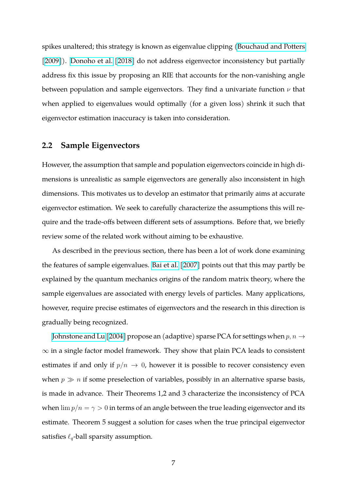spikes unaltered; this strategy is known as eigenvalue clipping [\(Bouchaud and Potters](#page-26-5) [\[2009\]](#page-26-5)). [Donoho et al.](#page-27-2) [\[2018\]](#page-27-2) do not address eigenvector inconsistency but partially address fix this issue by proposing an RIE that accounts for the non-vanishing angle between population and sample eigenvectors. They find a univariate function  $\nu$  that when applied to eigenvalues would optimally (for a given loss) shrink it such that eigenvector estimation inaccuracy is taken into consideration.

#### **2.2 Sample Eigenvectors**

However, the assumption that sample and population eigenvectors coincide in high dimensions is unrealistic as sample eigenvectors are generally also inconsistent in high dimensions. This motivates us to develop an estimator that primarily aims at accurate eigenvector estimation. We seek to carefully characterize the assumptions this will require and the trade-offs between different sets of assumptions. Before that, we briefly review some of the related work without aiming to be exhaustive.

As described in the previous section, there has been a lot of work done examining the features of sample eigenvalues. [Bai et al.](#page-26-6) [\[2007\]](#page-26-6) points out that this may partly be explained by the quantum mechanics origins of the random matrix theory, where the sample eigenvalues are associated with energy levels of particles. Many applications, however, require precise estimates of eigenvectors and the research in this direction is gradually being recognized.

[Johnstone and Lu](#page-27-3) [\[2004\]](#page-27-3) propose an (adaptive) sparse PCA for settings when  $p, n \rightarrow$  $\infty$  in a single factor model framework. They show that plain PCA leads to consistent estimates if and only if  $p/n \to 0$ , however it is possible to recover consistency even when  $p \gg n$  if some preselection of variables, possibly in an alternative sparse basis, is made in advance. Their Theorems 1,2 and 3 characterize the inconsistency of PCA when  $\lim p/n = \gamma > 0$  in terms of an angle between the true leading eigenvector and its estimate. Theorem 5 suggest a solution for cases when the true principal eigenvector satisfies  $\ell_q$ -ball sparsity assumption.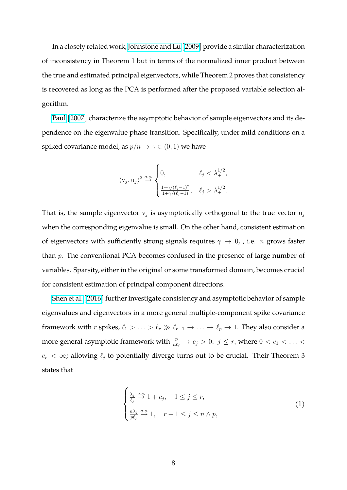In a closely related work, [Johnstone and Lu](#page-27-4) [\[2009\]](#page-27-4) provide a similar characterization of inconsistency in Theorem 1 but in terms of the normalized inner product between the true and estimated principal eigenvectors, while Theorem 2 proves that consistency is recovered as long as the PCA is performed after the proposed variable selection algorithm.

[Paul](#page-28-3) [\[2007\]](#page-28-3) characterize the asymptotic behavior of sample eigenvectors and its dependence on the eigenvalue phase transition. Specifically, under mild conditions on a spiked covariance model, as  $p/n \to \gamma \in (0,1)$  we have

$$
\langle \mathbf{v}_j,\mathbf{u}_j \rangle^2 \stackrel{a.s.}{\rightarrow} \begin{cases} 0, & \ell_j < \lambda_+^{1/2}, \\ \frac{1-\gamma/(\ell_j-1)^2}{1+\gamma/(\ell_j-1)}, & \ell_j > \lambda_+^{1/2}. \end{cases}
$$

That is, the sample eigenvector  $v_j$  is asymptotically orthogonal to the true vector  $u_j$ when the corresponding eigenvalue is small. On the other hand, consistent estimation of eigenvectors with sufficiently strong signals requires  $\gamma \to 0$ , i.e. *n* grows faster than p. The conventional PCA becomes confused in the presence of large number of variables. Sparsity, either in the original or some transformed domain, becomes crucial for consistent estimation of principal component directions.

[Shen et al.](#page-28-4) [\[2016\]](#page-28-4) further investigate consistency and asymptotic behavior of sample eigenvalues and eigenvectors in a more general multiple-component spike covariance framework with *r* spikes,  $\ell_1 > \ldots > \ell_r \gg \ell_{r+1} \to \ldots \to \ell_p \to 1$ . They also consider a more general asymptotic framework with  $\frac{p}{n\ell_j} \to c_j > 0$ ,  $j \leq r$ , where  $0 < c_1 < \ldots <$  $c_r < \infty$ ; allowing  $\ell_j$  to potentially diverge turns out to be crucial. Their Theorem 3 states that

<span id="page-7-0"></span>
$$
\begin{cases} \frac{\lambda_j}{\ell_j} \stackrel{a.s.}{\to} 1 + c_j, \quad 1 \le j \le r, \\ \frac{n\lambda_j}{p\ell_j} \stackrel{a.s.}{\to} 1, \quad r+1 \le j \le n \wedge p, \end{cases} \tag{1}
$$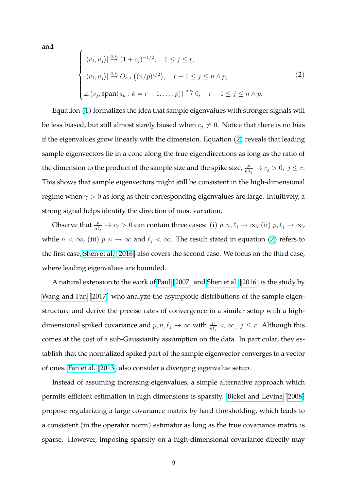and

 $\overline{\phantom{a}}$ 

<span id="page-8-0"></span>
$$
\begin{cases}\n|\langle v_j, u_j \rangle| \stackrel{a.s.}{\rightarrow} (1+c_j)^{-1/2}, & 1 \le j \le r, \\
|\langle v_j, u_j \rangle| \stackrel{a.s.}{\rightarrow} O_{a.s.}((n/p)^{1/2}), & r+1 \le j \le n \land p, \\
\angle(v_j, \text{span}(u_k : k = r+1, \dots, p)) \stackrel{a.s.}{\rightarrow} 0, & r+1 \le j \le n \land p.\n\end{cases}
$$
\n(2)

Equation [\(1\)](#page-7-0) formalizes the idea that sample eigenvalues with stronger signals will be less biased, but still almost surely biased when  $c_j \neq 0$ . Notice that there is no bias if the eigenvalues grow linearly with the dimension. Equation [\(2\)](#page-8-0) reveals that leading sample eigenvectors lie in a cone along the true eigendirections as long as the ratio of the dimension to the product of the sample size and the spike size,  $\frac{p}{n\lambda_j} \to c_j > 0, \ j \leq r$ . This shows that sample eigenvectors might still be consistent in the high-dimensional regime when  $\gamma > 0$  as long as their corresponding eigenvalues are large. Intuitively, a strong signal helps identify the direction of most variation.

Observe that  $\frac{p}{n\ell_j}\to c_j>0$  can contain three cases: (i)  $p,n,\ell_j\to\infty$ , (ii)  $p,\ell_j\to\infty$ , while  $n < \infty$ , (iii)  $p, n \to \infty$  and  $\ell_j < \infty$ . The result stated in equation [\(2\)](#page-8-0) refers to the first case, [Shen et al.](#page-28-4) [\[2016\]](#page-28-4) also covers the second case. We focus on the third case, where leading eigenvalues are bounded.

A natural extension to the work of [Paul](#page-28-3) [\[2007\]](#page-28-3) and [Shen et al.](#page-28-4) [\[2016\]](#page-28-4) is the study by [Wang and Fan](#page-28-5) [\[2017\]](#page-28-5) who analyze the asymptotic distributions of the sample eigenstructure and derive the precise rates of convergence in a similar setup with a highdimensional spiked covariance and  $p, n, \ell_j \to \infty$  with  $\frac{p}{n\ell_j} < \infty$ ,  $j \leq r$ . Although this comes at the cost of a sub-Gaussianity assumption on the data. In particular, they establish that the normalized spiked part of the sample eigenvector converges to a vector of ones. [Fan et al.](#page-27-5) [\[2013\]](#page-27-5) also consider a diverging eigenvalue setup.

Instead of assuming increasing eigenvalues, a simple alternative approach which permits efficient estimation in high dimensions is sparsity. [Bickel and Levina](#page-26-7) [\[2008\]](#page-26-7) propose regularizing a large covariance matrix by hard thresholding, which leads to a consistent (in the operator norm) estimator as long as the true covariance matrix is sparse. However, imposing sparsity on a high-dimensional covariance directly may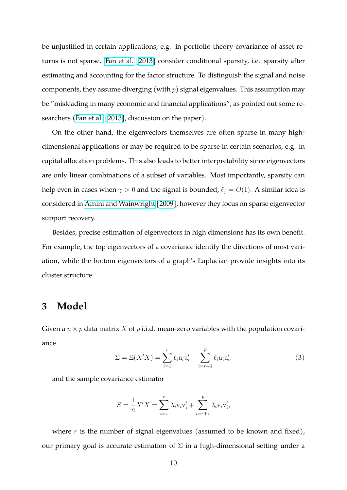be unjustified in certain applications, e.g. in portfolio theory covariance of asset returns is not sparse. [Fan et al.](#page-27-5) [\[2013\]](#page-27-5) consider conditional sparsity, i.e. sparsity after estimating and accounting for the factor structure. To distinguish the signal and noise components, they assume diverging (with  $p$ ) signal eigenvalues. This assumption may be "misleading in many economic and financial applications", as pointed out some researchers [\(Fan et al.](#page-27-5) [\[2013\]](#page-27-5), discussion on the paper).

On the other hand, the eigenvectors themselves are often sparse in many highdimensional applications or may be required to be sparse in certain scenarios, e.g. in capital allocation problems. This also leads to better interpretability since eigenvectors are only linear combinations of a subset of variables. Most importantly, sparsity can help even in cases when  $\gamma > 0$  and the signal is bounded,  $\ell_i = O(1)$ . A similar idea is considered in [Amini and Wainwright](#page-26-8) [\[2009\]](#page-26-8), however they focus on sparse eigenvector support recovery.

Besides, precise estimation of eigenvectors in high dimensions has its own benefit. For example, the top eigenvectors of a covariance identify the directions of most variation, while the bottom eigenvectors of a graph's Laplacian provide insights into its cluster structure.

# **3 Model**

Given a  $n \times p$  data matrix X of p i.i.d. mean-zero variables with the population covariance

<span id="page-9-0"></span>
$$
\Sigma = \mathbb{E}(X'X) = \sum_{i=1}^{r} \ell_i \mathbf{u}_i \mathbf{u}'_i + \sum_{i=r+1}^{p} \ell_i \mathbf{u}_i \mathbf{u}'_i, \tag{3}
$$

and the sample covariance estimator

$$
S = \frac{1}{n} X'X = \sum_{i=1}^{r} \lambda_i v_i v'_i + \sum_{i=r+1}^{p} \lambda_i v_i v'_i,
$$

where  $r$  is the number of signal eigenvalues (assumed to be known and fixed), our primary goal is accurate estimation of  $\Sigma$  in a high-dimensional setting under a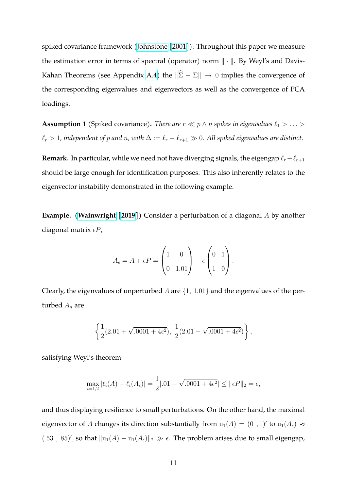spiked covariance framework [\(Johnstone](#page-27-0) [\[2001\]](#page-27-0)). Throughout this paper we measure the estimation error in terms of spectral (operator) norm ∥ · ∥. By Weyl's and Davis-Kahan Theorems (see Appendix [A.4\)](#page-24-0) the  $\|\widehat{\Sigma} - \Sigma\| \to 0$  implies the convergence of the corresponding eigenvalues and eigenvectors as well as the convergence of PCA loadings.

<span id="page-10-0"></span>**Assumption 1** (Spiked covariance). *There are*  $r \ll p \land n$  *spikes in eigenvalues*  $\ell_1 > \ldots >$  $\ell_r > 1$ , independent of p and n, with  $\Delta := \ell_r - \ell_{r+1} \gg 0$ . All spiked eigenvalues are distinct.

**Remark.** In particular, while we need not have diverging signals, the eigengap  $\ell_r - \ell_{r+1}$ should be large enough for identification purposes. This also inherently relates to the eigenvector instability demonstrated in the following example.

**Example. [\(Wainwright](#page-28-6) [\[2019\]](#page-28-6))** Consider a perturbation of a diagonal A by another diagonal matrix  $\epsilon P$ ,

$$
A_{\epsilon} = A + \epsilon P = \begin{pmatrix} 1 & 0 \\ 0 & 1.01 \end{pmatrix} + \epsilon \begin{pmatrix} 0 & 1 \\ 1 & 0 \end{pmatrix}.
$$

Clearly, the eigenvalues of unperturbed  $A$  are  $\{1, 1.01\}$  and the eigenvalues of the perturbed  $A_n$  are

$$
\left\{\frac{1}{2}(2.01+\sqrt{.0001+4\epsilon^2}), \frac{1}{2}(2.01-\sqrt{.0001+4\epsilon^2})\right\},\
$$

satisfying Weyl's theorem

$$
\max_{i=1,2} |\ell_i(A) - \ell_i(A_{\epsilon})| = \frac{1}{2} |.01 - \sqrt{.0001 + 4\epsilon^2}| \le ||\epsilon P||_2 = \epsilon,
$$

and thus displaying resilience to small perturbations. On the other hand, the maximal eigenvector of A changes its direction substantially from  $u_1(A) = (0, 1)'$  to  $u_1(A_\epsilon) \approx$ (.53, .85)', so that  $||u_1(A) - u_1(A_\epsilon)||_2 \gg \epsilon$ . The problem arises due to small eigengap,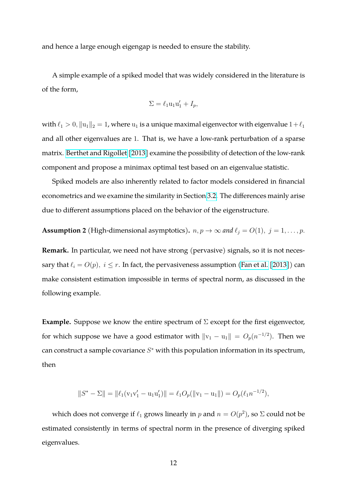and hence a large enough eigengap is needed to ensure the stability.

A simple example of a spiked model that was widely considered in the literature is of the form,

$$
\Sigma = \ell_1 u_1 u_1' + I_p,
$$

with  $\ell_1>0, \|{\bf u}_1\|_2=1$ , where  ${\bf u}_1$  is a unique maximal eigenvector with eigenvalue  $1+\ell_1$ and all other eigenvalues are 1. That is, we have a low-rank perturbation of a sparse matrix. [Berthet and Rigollet](#page-26-9) [\[2013\]](#page-26-9) examine the possibility of detection of the low-rank component and propose a minimax optimal test based on an eigenvalue statistic.

Spiked models are also inherently related to factor models considered in financial econometrics and we examine the similarity in Section [3.2.](#page-17-0) The differences mainly arise due to different assumptions placed on the behavior of the eigenstructure.

<span id="page-11-0"></span>**Assumption 2** (High-dimensional asymptotics).  $n, p \rightarrow \infty$  and  $\ell_j = O(1), j = 1, \ldots, p$ .

**Remark.** In particular, we need not have strong (pervasive) signals, so it is not necessary that  $\ell_i = O(p)$ ,  $i \leq r$ . In fact, the pervasiveness assumption [\(Fan et al.](#page-27-5) [\[2013\]](#page-27-5)) can make consistent estimation impossible in terms of spectral norm, as discussed in the following example.

**Example.** Suppose we know the entire spectrum of  $\Sigma$  except for the first eigenvector, for which suppose we have a good estimator with  $\|{\rm v}_{1}-{\rm u}_{1}\| = O_{p}(n^{-1/2}).$  Then we can construct a sample covariance  $S^*$  with this population information in its spectrum, then

$$
||S^* - \Sigma|| = ||\ell_1(v_1v_1' - u_1u_1')|| = \ell_1 O_p(||v_1 - u_1||) = O_p(\ell_1 n^{-1/2}),
$$

which does not converge if  $\ell_1$  grows linearly in p and  $n = O(p^2)$ , so  $\Sigma$  could not be estimated consistently in terms of spectral norm in the presence of diverging spiked eigenvalues.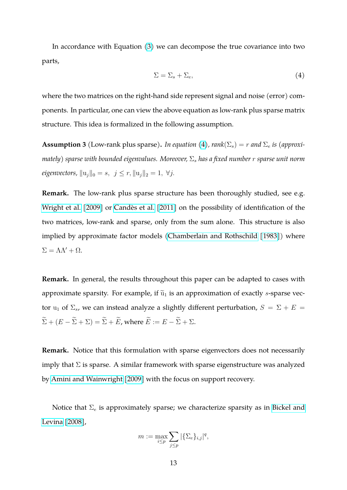In accordance with Equation [\(3\)](#page-9-0) we can decompose the true covariance into two parts,

<span id="page-12-0"></span>
$$
\Sigma = \Sigma_s + \Sigma_e,\tag{4}
$$

where the two matrices on the right-hand side represent signal and noise (error) components. In particular, one can view the above equation as low-rank plus sparse matrix structure. This idea is formalized in the following assumption.

<span id="page-12-1"></span>**Assumption 3** (Low-rank plus sparse). *In equation* [\(4\)](#page-12-0),  $rank(\Sigma_s) = r$  and  $\Sigma_e$  *is (approximately) sparse with bounded eigenvalues. Moreover,* Σ<sup>s</sup> *has a fixed number* r *sparse unit norm eigenvectors,*  $||u_j||_0 = s, \ j \leq r, ||u_j||_2 = 1, \ \forall j.$ 

**Remark.** The low-rank plus sparse structure has been thoroughly studied, see e.g. [Wright et al.](#page-28-7) [\[2009\]](#page-28-7) or Candès et al. [\[2011\]](#page-27-6) on the possibility of identification of the two matrices, low-rank and sparse, only from the sum alone. This structure is also implied by approximate factor models [\(Chamberlain and Rothschild](#page-27-7) [\[1983\]](#page-27-7)) where  $\Sigma = \Lambda \Lambda' + \Omega$ .

**Remark.** In general, the results throughout this paper can be adapted to cases with approximate sparsity. For example, if  $\widetilde{u}_1$  is an approximation of exactly s-sparse vector u<sub>1</sub> of  $\Sigma_s$ , we can instead analyze a slightly different perturbation,  $S = \Sigma + E =$  $\widetilde{\Sigma} + (E - \widetilde{\Sigma} + \Sigma) = \widetilde{\Sigma} + \widetilde{E}$ , where  $\widetilde{E} := E - \widetilde{\Sigma} + \Sigma$ .

**Remark.** Notice that this formulation with sparse eigenvectors does not necessarily imply that  $\Sigma$  is sparse. A similar framework with sparse eigenstructure was analyzed by [Amini and Wainwright](#page-26-8) [\[2009\]](#page-26-8) with the focus on support recovery.

Notice that  $\Sigma_e$  is approximately sparse; we characterize sparsity as in [Bickel and](#page-26-7) [Levina](#page-26-7) [\[2008\]](#page-26-7),

$$
m := \max_{i \le p} \sum_{j \le p} |\{\Sigma_e\}_{i,j}|^q,
$$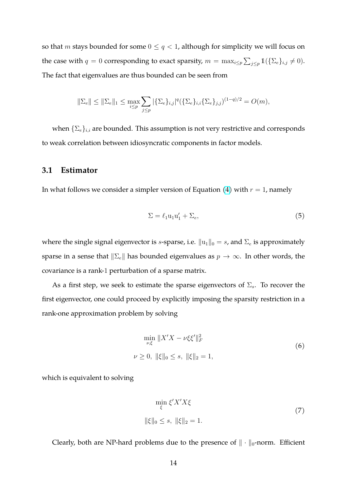so that *m* stays bounded for some  $0 \le q < 1$ , although for simplicity we will focus on the case with  $q = 0$  corresponding to exact sparsity,  $m = \max_{i \leq p} \sum_{j \leq p} \mathbb{1}(\{\Sigma_e\}_{i,j} \neq 0)$ . The fact that eigenvalues are thus bounded can be seen from

$$
\|\Sigma_e\| \le \|\Sigma_e\|_1 \le \max_{i \le p} \sum_{j \le p} |\{\Sigma_e\}_{i,j}|^q (\{\Sigma_e\}_{i,i} {\{\Sigma_e\}}_{j,j})^{(1-q)/2} = O(m),
$$

when  $\{\Sigma_e\}_{i,i}$  are bounded. This assumption is not very restrictive and corresponds to weak correlation between idiosyncratic components in factor models.

#### **3.1 Estimator**

In what follows we consider a simpler version of Equation [\(4\)](#page-12-0) with  $r = 1$ , namely

<span id="page-13-1"></span>
$$
\Sigma = \ell_1 \mathbf{u}_1 \mathbf{u}'_1 + \Sigma_e,\tag{5}
$$

where the single signal eigenvector is *s*-sparse, i.e.  $||u_1||_0 = s$ , and  $\Sigma_e$  is approximately sparse in a sense that  $\|\Sigma_e\|$  has bounded eigenvalues as  $p \to \infty$ . In other words, the covariance is a rank-1 perturbation of a sparse matrix.

As a first step, we seek to estimate the sparse eigenvectors of  $\Sigma_s$ . To recover the first eigenvector, one could proceed by explicitly imposing the sparsity restriction in a rank-one approximation problem by solving

$$
\min_{\nu,\xi} \|X'X - \nu\xi\xi'\|_F^2
$$
  
\n
$$
\nu \ge 0, \|\xi\|_0 \le s, \|\xi\|_2 = 1,
$$
\n(6)

which is equivalent to solving

<span id="page-13-0"></span>
$$
\min_{\xi} \xi' X' X \xi
$$
  
 
$$
\|\xi\|_0 \le s, \|\xi\|_2 = 1.
$$
 (7)

Clearly, both are NP-hard problems due to the presence of  $\|\cdot\|_0$ -norm. Efficient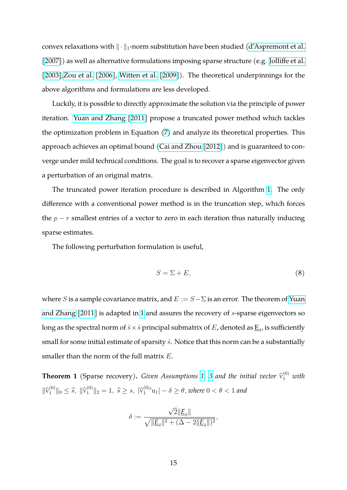convex relaxations with  $\|\cdot\|_1$ -norm substitution have been studied [\(d'Aspremont et al.](#page-27-8) [\[2007\]](#page-27-8)) as well as alternative formulations imposing sparse structure (e.g. [Jolliffe et al.](#page-27-9) [\[2003\]](#page-27-9)[,Zou et al.](#page-29-0) [\[2006\]](#page-29-0), [Witten et al.](#page-28-8) [\[2009\]](#page-28-8)). The theoretical underpinnings for the above algorithms and formulations are less developed.

Luckily, it is possible to directly approximate the solution via the principle of power iteration. [Yuan and Zhang](#page-29-1) [\[2011\]](#page-29-1) propose a truncated power method which tackles the optimization problem in Equation [\(7\)](#page-13-0) and analyze its theoretical properties. This approach achieves an optimal bound [\(Cai and Zhou](#page-27-10) [\[2012\]](#page-27-10)) and is guaranteed to converge under mild technical conditions. The goal is to recover a sparse eigenvector given a perturbation of an original matrix.

The truncated power iteration procedure is described in Algorithm [1.](#page-25-0) The only difference with a conventional power method is in the truncation step, which forces the  $p - r$  smallest entries of a vector to zero in each iteration thus naturally inducing sparse estimates.

The following perturbation formulation is useful,

$$
S = \Sigma + E,\tag{8}
$$

where S is a sample covariance matrix, and  $E := S - \Sigma$  is an error. The theorem of [Yuan](#page-29-1) [and Zhang](#page-29-1) [\[2011\]](#page-29-1) is adapted in [1](#page-14-0) and assures the recovery of s-sparse eigenvectors so long as the spectral norm of  $\hat{s}\times\hat{s}$  principal submatrix of  $E$ , denoted as  $\underline{\mathrm{E}}_{\hat{s}}$ , is sufficiently small for some initial estimate of sparsity  $\hat{s}$ . Notice that this norm can be a substantially smaller than the norm of the full matrix E.

<span id="page-14-0"></span>**Theorem 1** (Sparse recovery). *Given Assumptions [1,](#page-10-0) [3](#page-12-1) and the initial vector*  $\widehat{v}_1^{(0)}$  *with*  $\|\hat{v}_1^{(0)}\|_0 \leq \hat{s}$ ,  $\|\hat{v}_1^{(0)}\|_2 = 1$ ,  $\hat{s} \geq s$ ,  $|\hat{v}_1^{(0)}|$  $\int_1^{(0)} u_1$  |  $-\delta \ge \theta$ , *where*  $0 < \theta < 1$  *and* 

$$
\delta:=\frac{\sqrt{2}\|E_{\hat{s}}\|}{\sqrt{\|E_{\hat{s}}\|^2+(\Delta-2\|E_{\hat{s}}\|)^2}},
$$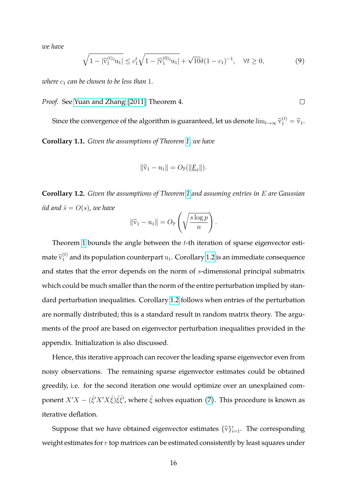*we have*

$$
\sqrt{1-|\widehat{v}_1^{(t)}v_{1}|} \le c_1^t \sqrt{1-|\widehat{v}_1^{(0)}v_{1}|} + \sqrt{10}\delta(1-c_1)^{-1}, \quad \forall t \ge 0,
$$
\n(9)

*where*  $c_1$  *can be chosen to be less than* 1*.* 

*Proof.* See [Yuan and Zhang](#page-29-1) [\[2011\]](#page-29-1) Theorem 4.

<span id="page-15-1"></span>Since the convergence of the algorithm is guaranteed, let us denote  $\lim_{t\to\infty} \widehat{\mathrm{v}}_1^{(t)} = \widehat{\mathrm{v}}_1$ . **Corollary 1.1.** *Given the assumptions of Theorem [1,](#page-14-0) we have*

$$
\|\hat{v}_1 - u_1\| = O_{\mathbb{P}}(\|\underline{E}_{\hat{s}}\|).
$$

<span id="page-15-0"></span>**Corollary 1.2.** *Given the assumptions of Theorem [1](#page-14-0) and assuming entries in* E *are Gaussian iid and*  $\hat{s} = O(s)$ *, we have* 

$$
\|\widehat{\mathbf{v}}_1 - \mathbf{u}_1\| = O_{\mathbb{P}}\left(\sqrt{\frac{s\log p}{n}}\right)
$$

.

 $\Box$ 

Theorem [1](#page-14-0) bounds the angle between the  $t$ -th iteration of sparse eigenvector estimate  $\widehat{\mathrm{v}}_{1}^{(t)}$  and its population counterpart  $\mathrm{u}_1$ . Corollary [1.2](#page-15-0) is an immediate consequence and states that the error depends on the norm of s-dimensional principal submatrix which could be much smaller than the norm of the entire perturbation implied by standard perturbation inequalities. Corollary [1.2](#page-15-0) follows when entries of the perturbation are normally distributed; this is a standard result in random matrix theory. The arguments of the proof are based on eigenvector perturbation inequalities provided in the appendix. Initialization is also discussed.

Hence, this iterative approach can recover the leading sparse eigenvector even from noisy observations. The remaining sparse eigenvector estimates could be obtained greedily, i.e. for the second iteration one would optimize over an unexplained component  $X'X-(\hat{\xi'}X'X\hat{\xi})\hat{\xi}\hat{\xi'}$ , where  $\hat{\xi}$  solves equation [\(7\)](#page-13-0). This procedure is known as iterative deflation.

Suppose that we have obtained eigenvector estimates  $\{\widehat{\mathbf{v}}\}_{i=1}^r$ . The corresponding weight estimates for  $r$  top matrices can be estimated consistently by least squares under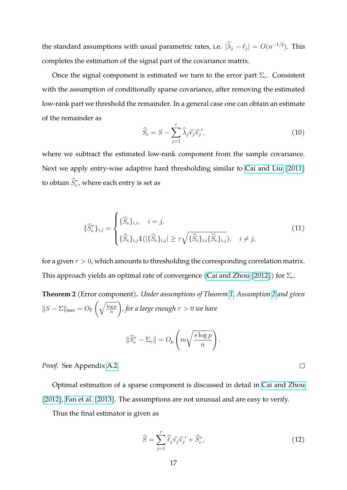the standard assumptions with usual parametric rates, i.e.  $|\hat{\lambda}_j - \ell_j| = O(n^{-1/2})$ . This completes the estimation of the signal part of the covariance matrix.

Once the signal component is estimated we turn to the error part  $\Sigma_e$ . Consistent with the assumption of conditionally sparse covariance, after removing the estimated low-rank part we threshold the remainder. In a general case one can obtain an estimate of the remainder as

<span id="page-16-1"></span>
$$
\widehat{S}_e = S - \sum_{j=1}^r \widehat{\lambda}_j \widehat{\mathbf{v}_j} \widehat{\mathbf{v}_j}',\tag{10}
$$

where we subtract the estimated low-rank component from the sample covariance. Next we apply entry-wise adaptive hard thresholding similar to [Cai and Liu](#page-26-10) [\[2011\]](#page-26-10) to obtain  $\widehat{S}_e^{\tau}$ , where each entry is set as

$$
\{\widehat{S}_{e}^{\tau}\}_{i,j} = \begin{cases} {\{\widehat{S}_{e}\}_{i,i}, & i = j, \\ \{\widehat{S}_{e}\}_{i,j} \mathbb{1}(|\{\widehat{S}_{e}\}_{i,j}| \geq \tau \sqrt{\{\widehat{S}_{e}\}_{i,i} \{\widehat{S}_{e}\}_{i,j}}), & i \neq j, \end{cases}
$$
(11)

for a given  $\tau > 0$ , which amounts to thresholding the corresponding correlation matrix. This approach yields an optimal rate of convergence [\(Cai and Zhou](#page-27-10) [\[2012\]](#page-27-10)) for  $\Sigma_e$ .

<span id="page-16-0"></span>**Theorem 2** (Error component)**.** *Under assumptions of Theorem [1,](#page-14-0) Assumption [2](#page-11-0) and given*  $||S-\Sigma||_{max} = O_{\mathbb{P}}\left(\sqrt{\frac{\log p}{n}}\right)$ n  $\setminus$ *, for a large enough* τ > 0 *we have*  $\sqrt{ }$ <sup>1</sup>  $\setminus$ 

$$
\|\widehat{S}_e^{\tau} - \Sigma_e\| = O_p\left(m\sqrt{\frac{s\log p}{n}}\right).
$$

*Proof.* See Appendix [A.2.](#page-23-0)

Optimal estimation of a sparse component is discussed in detail in [Cai and Zhou](#page-27-10) [\[2012\]](#page-27-10), [Fan et al.](#page-27-5) [\[2013\]](#page-27-5). The assumptions are not unusual and are easy to verify.

Thus the final estimator is given as

$$
\widehat{S} = \sum_{j=1}^{r} \widehat{\ell}_j \widehat{\mathbf{v}}_j \widehat{\mathbf{v}}_j' + \widehat{S}_e^{\tau},\tag{12}
$$

 $\Box$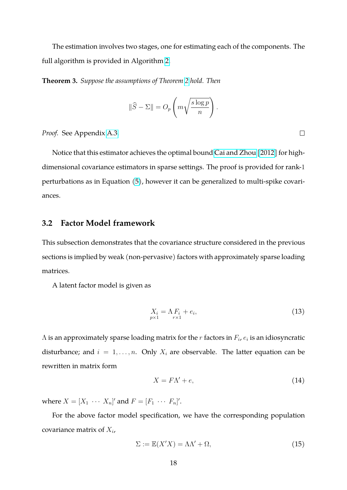The estimation involves two stages, one for estimating each of the components. The full algorithm is provided in Algorithm [2.](#page-25-1)

<span id="page-17-2"></span>**Theorem 3.** *Suppose the assumptions of Theorem [2](#page-16-0) hold. Then*

$$
\|\widehat{S} - \Sigma\| = O_p\left(m\sqrt{\frac{s\log p}{n}}\right).
$$

*Proof.* See Appendix [A.3.](#page-24-1)

Notice that this estimator achieves the optimal bound [Cai and Zhou](#page-27-10) [\[2012\]](#page-27-10) for highdimensional covariance estimators in sparse settings. The proof is provided for rank-1 perturbations as in Equation [\(5\)](#page-13-1), however it can be generalized to multi-spike covariances.

### <span id="page-17-0"></span>**3.2 Factor Model framework**

This subsection demonstrates that the covariance structure considered in the previous sections is implied by weak (non-pervasive) factors with approximately sparse loading matrices.

A latent factor model is given as

$$
X_i = \Lambda F_i + e_i,
$$
  
\n<sub>p×1</sub> +  $e_i$ , (13)

 $\Lambda$  is an approximately sparse loading matrix for the  $r$  factors in  $F_i$ ,  $e_i$  is an idiosyncratic disturbance; and  $i = 1, ..., n$ . Only  $X_i$  are observable. The latter equation can be rewritten in matrix form

$$
X = F\Lambda' + e,\tag{14}
$$

where  $X = [X_1 \cdots X_n]'$  and  $F = [F_1 \cdots F_n]'$ .

For the above factor model specification, we have the corresponding population covariance matrix of  $X_i$ ,

<span id="page-17-1"></span>
$$
\Sigma := \mathbb{E}(X'X) = \Lambda \Lambda' + \Omega,\tag{15}
$$

 $\Box$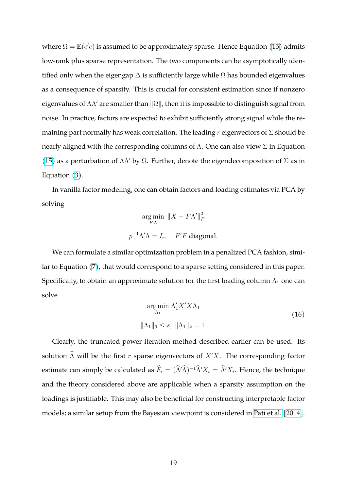where  $\Omega = \mathbb{E}(e'e)$  is assumed to be approximately sparse. Hence Equation [\(15\)](#page-17-1) admits low-rank plus sparse representation. The two components can be asymptotically identified only when the eigengap  $\Delta$  is sufficiently large while  $\Omega$  has bounded eigenvalues as a consequence of sparsity. This is crucial for consistent estimation since if nonzero eigenvalues of  $\Lambda\Lambda'$  are smaller than  $\|\Omega\|$ , then it is impossible to distinguish signal from noise. In practice, factors are expected to exhibit sufficiently strong signal while the remaining part normally has weak correlation. The leading r eigenvectors of  $\Sigma$  should be nearly aligned with the corresponding columns of  $Λ$ . One can also view  $Σ$  in Equation [\(15\)](#page-17-1) as a perturbation of  $\Lambda\Lambda'$  by  $\Omega$ . Further, denote the eigendecomposition of  $\Sigma$  as in Equation [\(3\)](#page-9-0).

In vanilla factor modeling, one can obtain factors and loading estimates via PCA by solving

$$
\underset{F,\Lambda}{\arg\min} \ \|X - F\Lambda'\|_F^2
$$

$$
p^{-1}\Lambda'\Lambda = I_r, \quad F'F \text{ diagonal.}
$$

We can formulate a similar optimization problem in a penalized PCA fashion, similar to Equation [\(7\)](#page-13-0), that would correspond to a sparse setting considered in this paper. Specifically, to obtain an approximate solution for the first loading column  $\Lambda_1$  one can solve

$$
\underset{\Lambda_1}{\arg\min} \Lambda_1' X' X \Lambda_1
$$
\n
$$
\|\Lambda_1\|_0 \le s, \ \|\Lambda_1\|_2 = 1.
$$
\n(16)

Clearly, the truncated power iteration method described earlier can be used. Its solution  $\widehat{\Lambda}$  will be the first r sparse eigenvectors of  $X'X$ . The corresponding factor estimate can simply be calculated as  $\widehat{F}_i = (\widehat{\Lambda}'\widehat{\Lambda})^{-1}\widehat{\Lambda}'X_i = \widehat{\Lambda}'X_i$ . Hence, the technique and the theory considered above are applicable when a sparsity assumption on the loadings is justifiable. This may also be beneficial for constructing interpretable factor models; a similar setup from the Bayesian viewpoint is considered in [Pati et al.](#page-28-9) [\[2014\]](#page-28-9).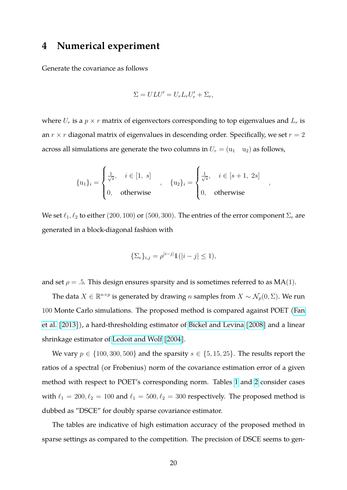# **4 Numerical experiment**

Generate the covariance as follows

$$
\Sigma = ULU' = U_r L_r U'_r + \Sigma_e,
$$

where  $U_r$  is a  $p \times r$  matrix of eigenvectors corresponding to top eigenvalues and  $L_r$  is an  $r \times r$  diagonal matrix of eigenvalues in descending order. Specifically, we set  $r = 2$ across all simulations are generate the two columns in  $U_r = (u_1 \quad u_2)$  as follows,

$$
\{\mathbf{u}_1\}_i = \begin{cases} \frac{1}{\sqrt{s}}, & i \in [1, s] \\ 0, & \text{otherwise} \end{cases}, \quad \{\mathbf{u}_2\}_i = \begin{cases} \frac{1}{\sqrt{s}}, & i \in [s+1, 2s] \\ 0, & \text{otherwise} \end{cases}
$$

,

We set  $\ell_1, \ell_2$  to either (200, 100) or (500, 300). The entries of the error component  $\Sigma_e$  are generated in a block-diagonal fashion with

$$
\{\Sigma_e\}_{i,j} = \rho^{|i-j|} \mathbb{1}(|i-j| \le 1),
$$

and set  $\rho = .5$ . This design ensures sparsity and is sometimes referred to as MA(1).

The data  $X \in \mathbb{R}^{n \times p}$  is generated by drawing n samples from  $X \sim \mathcal{N}_p(0, \Sigma)$ . We run 100 Monte Carlo simulations. The proposed method is compared against POET [\(Fan](#page-27-5) [et al.](#page-27-5) [\[2013\]](#page-27-5)), a hard-thresholding estimator of [Bickel and Levina](#page-26-7) [\[2008\]](#page-26-7) and a linear shrinkage estimator of [Ledoit and Wolf](#page-27-1) [\[2004\]](#page-27-1).

We vary  $p \in \{100, 300, 500\}$  and the sparsity  $s \in \{5, 15, 25\}$ . The results report the ratios of a spectral (or Frobenius) norm of the covariance estimation error of a given method with respect to POET's corresponding norm. Tables [1](#page-20-0) and [2](#page-20-1) consider cases with  $\ell_1 = 200, \ell_2 = 100$  and  $\ell_1 = 500, \ell_2 = 300$  respectively. The proposed method is dubbed as "DSCE" for doubly sparse covariance estimator.

The tables are indicative of high estimation accuracy of the proposed method in sparse settings as compared to the competition. The precision of DSCE seems to gen-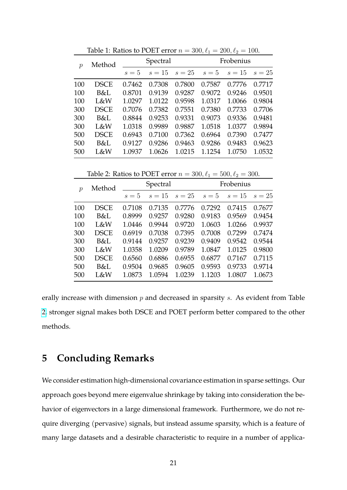| $\mathcal{p}$ | Method      | Spectral |        |        | Frobenius |        |        |
|---------------|-------------|----------|--------|--------|-----------|--------|--------|
|               |             | $s=5$    | $s=15$ | $s=25$ | $s=5$     | $s=15$ | $s=25$ |
| 100           | DSCE        | 0.7462   | 0.7308 | 0.7800 | 0.7587    | 0.7776 | 0.7717 |
| 100           | B&L         | 0.8701   | 0.9139 | 0.9287 | 0.9072    | 0.9246 | 0.9501 |
| 100           | L&W         | 1.0297   | 1.0122 | 0.9598 | 1.0317    | 1.0066 | 0.9804 |
| 300           | <b>DSCE</b> | 0.7076   | 0.7382 | 0.7551 | 0.7380    | 0.7733 | 0.7706 |
| 300           | B&L         | 0.8844   | 0.9253 | 0.9331 | 0.9073    | 0.9336 | 0.9481 |
| 300           | L&W         | 1.0318   | 0.9989 | 0.9887 | 1.0518    | 1.0377 | 0.9894 |
| 500           | DSCE        | 0.6943   | 0.7100 | 0.7362 | 0.6964    | 0.7390 | 0.7477 |
| 500           | B&L         | 0.9127   | 0.9286 | 0.9463 | 0.9286    | 0.9483 | 0.9623 |
| 500           | L&W         | 1.0937   | 1.0626 | 1.0215 | 1.1254    | 1.0750 | 1.0532 |

<span id="page-20-0"></span>Table 1: Ratios to POET error  $n = 300, \ell_1 = 200, \ell_2 = 100$ .

<span id="page-20-1"></span>Table 2: Ratios to POET error  $n = 300, \ell_1 = 500, \ell_2 = 300$ .

| $\mathcal{D}$ | Method      | Spectral |        |        | Frobenius |        |        |
|---------------|-------------|----------|--------|--------|-----------|--------|--------|
|               |             | $s=5$    | $s=15$ | $s=25$ | $s=5$     | $s=15$ | $s=25$ |
| 100           | <b>DSCE</b> | 0.7108   | 0.7135 | 0.7776 | 0.7292    | 0.7415 | 0.7677 |
| 100           | B&L         | 0.8999   | 0.9257 | 0.9280 | 0.9183    | 0.9569 | 0.9454 |
| 100           | L&W         | 1.0446   | 0.9944 | 0.9720 | 1.0603    | 1.0266 | 0.9937 |
| 300           | <b>DSCE</b> | 0.6919   | 0.7038 | 0.7395 | 0.7008    | 0.7299 | 0.7474 |
| 300           | B&L         | 0.9144   | 0.9257 | 0.9239 | 0.9409    | 0.9542 | 0.9544 |
| 300           | L&W         | 1.0358   | 1.0209 | 0.9789 | 1.0847    | 1.0125 | 0.9800 |
| 500           | <b>DSCE</b> | 0.6560   | 0.6886 | 0.6955 | 0.6877    | 0.7167 | 0.7115 |
| 500           | B&L         | 0.9504   | 0.9685 | 0.9605 | 0.9593    | 0.9733 | 0.9714 |
| 500           | L&W         | 1.0873   | 1.0594 | 1.0239 | 1.1203    | 1.0807 | 1.0673 |

erally increase with dimension  $p$  and decreased in sparsity  $s$ . As evident from Table [2,](#page-20-1) stronger signal makes both DSCE and POET perform better compared to the other methods.

# **5 Concluding Remarks**

We consider estimation high-dimensional covariance estimation in sparse settings. Our approach goes beyond mere eigenvalue shrinkage by taking into consideration the behavior of eigenvectors in a large dimensional framework. Furthermore, we do not require diverging (pervasive) signals, but instead assume sparsity, which is a feature of many large datasets and a desirable characteristic to require in a number of applica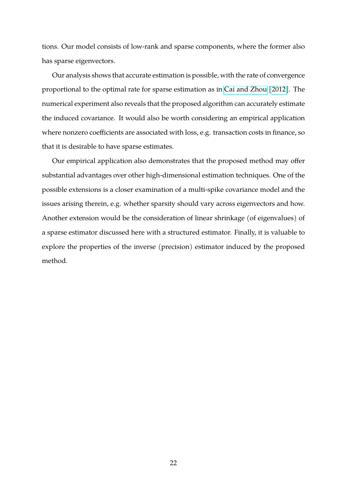tions. Our model consists of low-rank and sparse components, where the former also has sparse eigenvectors.

Our analysis shows that accurate estimation is possible, with the rate of convergence proportional to the optimal rate for sparse estimation as in [Cai and Zhou](#page-27-10) [\[2012\]](#page-27-10). The numerical experiment also reveals that the proposed algorithm can accurately estimate the induced covariance. It would also be worth considering an empirical application where nonzero coefficients are associated with loss, e.g. transaction costs in finance, so that it is desirable to have sparse estimates.

Our empirical application also demonstrates that the proposed method may offer substantial advantages over other high-dimensional estimation techniques. One of the possible extensions is a closer examination of a multi-spike covariance model and the issues arising therein, e.g. whether sparsity should vary across eigenvectors and how. Another extension would be the consideration of linear shrinkage (of eigenvalues) of a sparse estimator discussed here with a structured estimator. Finally, it is valuable to explore the properties of the inverse (precision) estimator induced by the proposed method.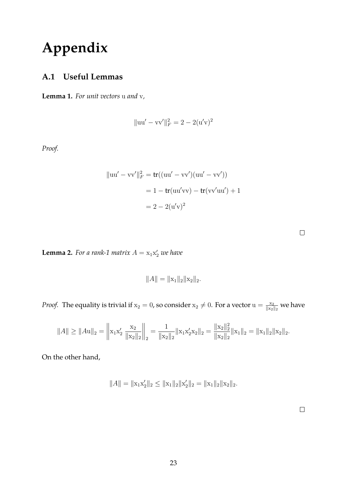# **Appendix**

# **A.1 Useful Lemmas**

<span id="page-22-0"></span>**Lemma 1.** *For unit vectors* u *and* v*,*

$$
\|\mathbf{u}\mathbf{u}' - \mathbf{v}\mathbf{v}'\|_F^2 = 2 - 2(\mathbf{u}'\mathbf{v})^2
$$

*Proof.*

$$
||uu' - vv'||_F^2 = \text{tr}((uu' - vv')(uu' - vv'))
$$
  
= 1 - \text{tr}(uu'vv) - \text{tr}(vv'uu') + 1  
= 2 - 2(u'v)<sup>2</sup>

<span id="page-22-1"></span>**Lemma 2.** For a rank-1 matrix  $A = x_1 x_2'$  we have

$$
||A|| = ||\mathbf{x}_1||_2 ||\mathbf{x}_2||_2.
$$

*Proof.* The equality is trivial if  $x_2 = 0$ , so consider  $x_2 \neq 0$ . For a vector  $u = \frac{x_2}{\|x_2\|_2}$  we have

$$
||A|| \ge ||Au||_2 = \left\| x_1 x_2' \frac{x_2}{||x_2||_2} \right\|_2 = \frac{1}{||x_2||_2} ||x_1 x_2' x_2||_2 = \frac{||x_2||_2^2}{||x_2||_2} ||x_1||_2 = ||x_1||_2 ||x_2||_2.
$$

On the other hand,

$$
||A|| = ||x_1x_2'||_2 \le ||x_1||_2 ||x_2'||_2 = ||x_1||_2 ||x_2||_2.
$$

 $\hfill \square$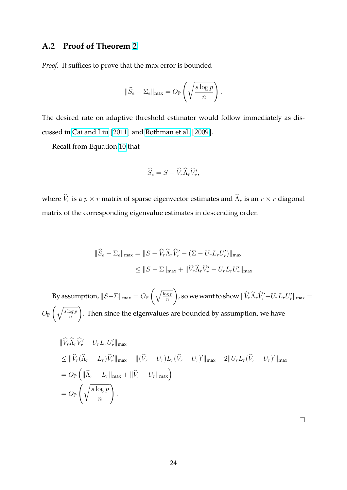# <span id="page-23-0"></span>**A.2 Proof of Theorem [2](#page-16-0)**

*Proof.* It suffices to prove that the max error is bounded

$$
\|\widehat{S}_e - \Sigma_e\|_{\max} = O_{\mathbb{P}}\left(\sqrt{\frac{s\log p}{n}}\right).
$$

The desired rate on adaptive threshold estimator would follow immediately as discussed in [Cai and Liu](#page-26-10) [\[2011\]](#page-26-10) and [Rothman et al.](#page-28-10) [\[2009\]](#page-28-10).

Recall from Equation [10](#page-16-1) that

$$
\widehat{S}_e = S - \widehat{V}_r \widehat{\Lambda}_r \widehat{V}_r',
$$

where  $\widehat{V}_r$  is a  $p \times r$  matrix of sparse eigenvector estimates and  $\widehat{\Lambda}_r$  is an  $r \times r$  diagonal matrix of the corresponding eigenvalue estimates in descending order.

$$
\|\widehat{S}_e - \Sigma_e\|_{\max} = \|S - \widehat{V}_r \widehat{\Lambda}_r \widehat{V}_r' - (\Sigma - U_r L_r U_r')\|_{\max}
$$
  

$$
\leq \|S - \Sigma\|_{\max} + \|\widehat{V}_r \widehat{\Lambda}_r \widehat{V}_r' - U_r L_r U_r'\|_{\max}
$$

By assumption,  $||S-\Sigma||_{\max} = O_{\mathbb{P}}\left(\sqrt{\frac{\log p}{n}}\right)$ n  $\left\langle \vphantom{\int}\right\rangle$ , so we want to show  $\|\widehat V_r\widehat\Lambda_r\widehat V_r'-U_rL_rU_r'\|_{\max}=0$  $O_{\mathbb{P}}\left(\sqrt{\frac{s\log p}{n}}\right)$ n  $\setminus$ . Then since the eigenvalues are bounded by assumption, we have

$$
\begin{split}\n\|\widehat{V}_r \widehat{\Lambda}_r \widehat{V}_r' - U_r L_r U_r'\|_{\max} \\
&\leq \|\widehat{V}_r (\widehat{\Lambda}_r - L_r) \widehat{V}_r'\|_{\max} + \|(\widehat{V}_r - U_r) L_r (\widehat{V}_r - U_r)'\|_{\max} + 2\|U_r L_r (\widehat{V}_r - U_r)'\|_{\max} \\
&= O_{\mathbb{P}}\left(\|\widehat{\Lambda}_r - L_r\|_{\max} + \|\widehat{V}_r - U_r\|_{\max}\right) \\
&= O_{\mathbb{P}}\left(\sqrt{\frac{s \log p}{n}}\right).\n\end{split}
$$

 $\Box$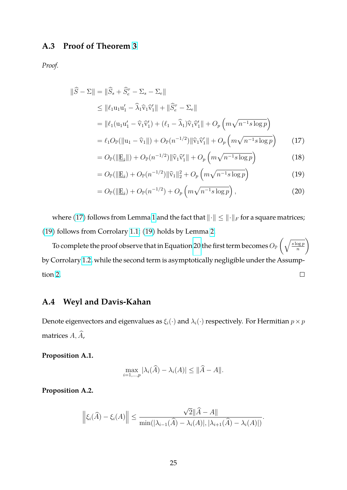# <span id="page-24-1"></span>**A.3 Proof of Theorem [3](#page-17-2)**

*Proof.*

$$
\|\widehat{S} - \Sigma\| = \|\widehat{S}_s + \widehat{S}_e^{\tau} - \Sigma_s - \Sigma_e\|
$$
  
\n
$$
\leq \|\ell_1 \mathbf{u}_1 \mathbf{u}_1' - \widehat{\lambda}_1 \widehat{\mathbf{v}}_1 \widehat{\mathbf{v}}_1'\| + \|\widehat{S}_e^{\tau} - \Sigma_e\|
$$
  
\n
$$
= \|\ell_1 (\mathbf{u}_1 \mathbf{u}_1' - \widehat{\mathbf{v}}_1 \widehat{\mathbf{v}}_1') + (\ell_1 - \widehat{\lambda}_1) \widehat{\mathbf{v}}_1 \widehat{\mathbf{v}}_1'\| + O_p \left( m \sqrt{n^{-1} s \log p} \right)
$$
  
\n
$$
= \ell_1 O_{\mathbb{P}}(\|\mathbf{u}_1 - \widehat{\mathbf{v}}_1\|) + O_{\mathbb{P}}(n^{-1/2}) \|\widehat{\mathbf{v}}_1 \widehat{\mathbf{v}}_1'\| + O_p \left( m \sqrt{n^{-1} s \log p} \right)
$$
 (17)  
\n
$$
= O_{\mathbb{P}}(\|\mathbf{E}_e\|) + O_{\mathbb{P}}(n^{-1/2}) \|\widehat{\mathbf{v}}_e \widehat{\mathbf{v}}_e\| + O_{\mathbb{P}}\left( m \sqrt{n^{-1} s \log p} \right)
$$
 (18)

<span id="page-24-2"></span>
$$
=O_{\mathbb{P}}(\Vert \underline{\mathbf{E}}_{\hat{s}} \Vert) + O_{\mathbb{P}}(n^{-1/2}) \Vert \widehat{\mathbf{v}}_1 \widehat{\mathbf{v}}_1' \Vert + O_p\left(m\sqrt{n^{-1}s\log p}\right) \tag{18}
$$

<span id="page-24-3"></span>
$$
= O_{\mathbb{P}}(||\underline{\mathbf{E}}_{\hat{s}}) + O_{\mathbb{P}}(n^{-1/2}) ||\widehat{\mathbf{v}}_1||_2^2 + O_p\left(m\sqrt{n^{-1}s\log p}\right)
$$
(19)

<span id="page-24-4"></span>
$$
=O_{\mathbb{P}}(\Vert \underline{E}_{\hat{s}})+O_{\mathbb{P}}(n^{-1/2})+O_{p}\left(m\sqrt{n^{-1}s\log p}\right),\tag{20}
$$

where [\(17\)](#page-24-2) follows from Lemma [1](#page-22-0) and the fact that  $\|\cdot\| \leq \|\cdot\|_F$  for a square matrices; [\(19\)](#page-24-3) follows from Corrolary [1.1;](#page-15-1) [\(19\)](#page-24-3) holds by Lemma [2.](#page-22-1)

To complete the proof observe that in Equation [20](#page-24-4) the first term becomes  $O_\mathbb{P}\left(\sqrt{\frac{s\log p}{n}}\right)$  $\setminus$ n by Corrolary [1.2,](#page-15-0) while the second term is asymptotically negligible under the Assumption [2.](#page-11-0)  $\Box$ 

### <span id="page-24-0"></span>**A.4 Weyl and Davis-Kahan**

Denote eigenvectors and eigenvalues as  $\xi_i(\cdot)$  and  $\lambda_i(\cdot)$  respectively. For Hermitian  $p \times p$ matrices  $A, \hat{A}$ ,

**Proposition A.1.**

$$
\max_{i=1,\dots,p} |\lambda_i(\widehat{A}) - \lambda_i(A)| \le ||\widehat{A} - A||.
$$

**Proposition A.2.**

$$
\left\|\xi_i(\widehat{A}) - \xi_i(A)\right\| \le \frac{\sqrt{2}\|\widehat{A} - A\|}{\min(|\lambda_{i-1}(\widehat{A}) - \lambda_i(A)|, |\lambda_{i+1}(\widehat{A}) - \lambda_i(A)|)}.
$$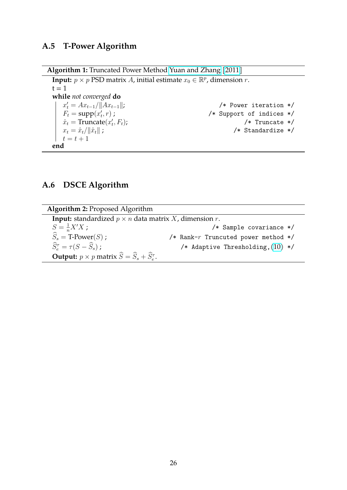# **A.5 T-Power Algorithm**

**Algorithm 1:** Truncated Power Method [Yuan and Zhang](#page-29-1) [\[2011\]](#page-29-1)

**Input:**  $p \times p$  PSD matrix A, initial estimate  $x_0 \in \mathbb{R}^p$ , dimension r.  $t = 1$ **while** *not converged* **do**  $x'_t = Ax_{t-1}/||Ax_{t-1}||;$  /\* Power iteration \*/  $F_t = \text{supp}(x_t)$ /\* Support of indices  $*/$  $\hat{x}_t = \text{Truncated}(x_t)$ /\* Truncate  $*/$  $x_t = \hat{x}_t / \|\hat{x}_t\|$ ; /\* Standardize \*/  $t = t + 1$ **end**

### <span id="page-25-0"></span>**A.6 DSCE Algorithm**

**Algorithm 2:** Proposed Algorithm

<span id="page-25-1"></span>**Input:** standardized  $p \times n$  data matrix  $X$ , dimension  $r$ .  $S=\frac{1}{n}$  $S = \frac{1}{n}X'X$ ;<br>  $\widehat{S}_s = T\text{-Power}(S)$ ;<br>  $\longrightarrow$  /\* Rank-*r* Truncuted power method \*/  $/*$  Rank-r Truncuted power method \*/  $\widehat{S}_e^{\tau} = \tau (S - \widehat{S}_s)$ ; /\* Adaptive Thresholding, $(10)$  \*/ **Output:**  $p \times p$  matrix  $\hat{S} = \hat{S}_s + \hat{S}_e^{\tau}$ .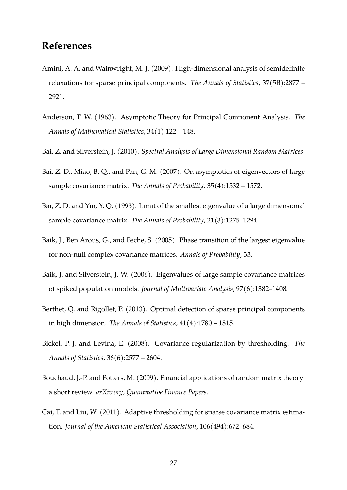# **References**

- <span id="page-26-8"></span>Amini, A. A. and Wainwright, M. J. (2009). High-dimensional analysis of semidefinite relaxations for sparse principal components. *The Annals of Statistics*, 37(5B):2877 – 2921.
- <span id="page-26-0"></span>Anderson, T. W. (1963). Asymptotic Theory for Principal Component Analysis. *The Annals of Mathematical Statistics*, 34(1):122 – 148.
- <span id="page-26-2"></span>Bai, Z. and Silverstein, J. (2010). *Spectral Analysis of Large Dimensional Random Matrices*.
- <span id="page-26-6"></span>Bai, Z. D., Miao, B. Q., and Pan, G. M. (2007). On asymptotics of eigenvectors of large sample covariance matrix. *The Annals of Probability*, 35(4):1532 – 1572.
- <span id="page-26-1"></span>Bai, Z. D. and Yin, Y. Q. (1993). Limit of the smallest eigenvalue of a large dimensional sample covariance matrix. *The Annals of Probability*, 21(3):1275–1294.
- <span id="page-26-3"></span>Baik, J., Ben Arous, G., and Peche, S. (2005). Phase transition of the largest eigenvalue for non-null complex covariance matrices. *Annals of Probability*, 33.
- <span id="page-26-4"></span>Baik, J. and Silverstein, J. W. (2006). Eigenvalues of large sample covariance matrices of spiked population models. *Journal of Multivariate Analysis*, 97(6):1382–1408.
- <span id="page-26-9"></span>Berthet, Q. and Rigollet, P. (2013). Optimal detection of sparse principal components in high dimension. *The Annals of Statistics*, 41(4):1780 – 1815.
- <span id="page-26-7"></span>Bickel, P. J. and Levina, E. (2008). Covariance regularization by thresholding. *The Annals of Statistics*, 36(6):2577 – 2604.
- <span id="page-26-5"></span>Bouchaud, J.-P. and Potters, M. (2009). Financial applications of random matrix theory: a short review. *arXiv.org, Quantitative Finance Papers*.
- <span id="page-26-10"></span>Cai, T. and Liu, W. (2011). Adaptive thresholding for sparse covariance matrix estimation. *Journal of the American Statistical Association*, 106(494):672–684.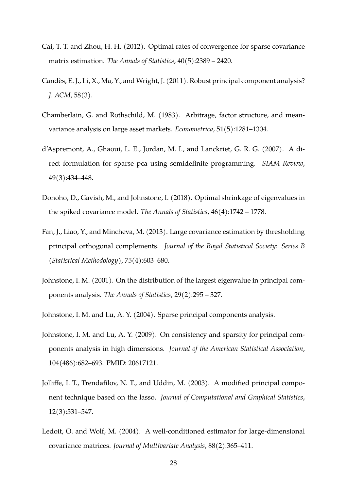- <span id="page-27-10"></span>Cai, T. T. and Zhou, H. H. (2012). Optimal rates of convergence for sparse covariance matrix estimation. *The Annals of Statistics*, 40(5):2389 – 2420.
- <span id="page-27-6"></span>Candes, E. J., Li, X., Ma, Y., and Wright, J. (2011). Robust principal component analysis? ` *J. ACM*, 58(3).
- <span id="page-27-7"></span>Chamberlain, G. and Rothschild, M. (1983). Arbitrage, factor structure, and meanvariance analysis on large asset markets. *Econometrica*, 51(5):1281–1304.
- <span id="page-27-8"></span>d'Aspremont, A., Ghaoui, L. E., Jordan, M. I., and Lanckriet, G. R. G. (2007). A direct formulation for sparse pca using semidefinite programming. *SIAM Review*, 49(3):434–448.
- <span id="page-27-2"></span>Donoho, D., Gavish, M., and Johnstone, I. (2018). Optimal shrinkage of eigenvalues in the spiked covariance model. *The Annals of Statistics*, 46(4):1742 – 1778.
- <span id="page-27-5"></span>Fan, J., Liao, Y., and Mincheva, M. (2013). Large covariance estimation by thresholding principal orthogonal complements. *Journal of the Royal Statistical Society: Series B (Statistical Methodology)*, 75(4):603–680.
- <span id="page-27-0"></span>Johnstone, I. M. (2001). On the distribution of the largest eigenvalue in principal components analysis. *The Annals of Statistics*, 29(2):295 – 327.
- <span id="page-27-3"></span>Johnstone, I. M. and Lu, A. Y. (2004). Sparse principal components analysis.
- <span id="page-27-4"></span>Johnstone, I. M. and Lu, A. Y. (2009). On consistency and sparsity for principal components analysis in high dimensions. *Journal of the American Statistical Association*, 104(486):682–693. PMID: 20617121.
- <span id="page-27-9"></span>Jolliffe, I. T., Trendafilov, N. T., and Uddin, M. (2003). A modified principal component technique based on the lasso. *Journal of Computational and Graphical Statistics*, 12(3):531–547.
- <span id="page-27-1"></span>Ledoit, O. and Wolf, M. (2004). A well-conditioned estimator for large-dimensional covariance matrices. *Journal of Multivariate Analysis*, 88(2):365–411.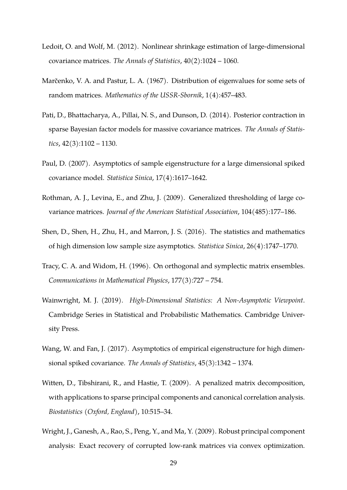- <span id="page-28-2"></span>Ledoit, O. and Wolf, M. (2012). Nonlinear shrinkage estimation of large-dimensional covariance matrices. *The Annals of Statistics*, 40(2):1024 – 1060.
- <span id="page-28-0"></span>Marčenko, V. A. and Pastur, L. A. (1967). Distribution of eigenvalues for some sets of random matrices. *Mathematics of the USSR-Sbornik*, 1(4):457–483.
- <span id="page-28-9"></span>Pati, D., Bhattacharya, A., Pillai, N. S., and Dunson, D. (2014). Posterior contraction in sparse Bayesian factor models for massive covariance matrices. *The Annals of Statistics*, 42(3):1102 – 1130.
- <span id="page-28-3"></span>Paul, D. (2007). Asymptotics of sample eigenstructure for a large dimensional spiked covariance model. *Statistica Sinica*, 17(4):1617–1642.
- <span id="page-28-10"></span>Rothman, A. J., Levina, E., and Zhu, J. (2009). Generalized thresholding of large covariance matrices. *Journal of the American Statistical Association*, 104(485):177–186.
- <span id="page-28-4"></span>Shen, D., Shen, H., Zhu, H., and Marron, J. S. (2016). The statistics and mathematics of high dimension low sample size asymptotics. *Statistica Sinica*, 26(4):1747–1770.
- <span id="page-28-1"></span>Tracy, C. A. and Widom, H. (1996). On orthogonal and symplectic matrix ensembles. *Communications in Mathematical Physics*, 177(3):727 – 754.
- <span id="page-28-6"></span>Wainwright, M. J. (2019). *High-Dimensional Statistics: A Non-Asymptotic Viewpoint*. Cambridge Series in Statistical and Probabilistic Mathematics. Cambridge University Press.
- <span id="page-28-5"></span>Wang, W. and Fan, J. (2017). Asymptotics of empirical eigenstructure for high dimensional spiked covariance. *The Annals of Statistics*, 45(3):1342 – 1374.
- <span id="page-28-8"></span>Witten, D., Tibshirani, R., and Hastie, T. (2009). A penalized matrix decomposition, with applications to sparse principal components and canonical correlation analysis. *Biostatistics (Oxford, England)*, 10:515–34.
- <span id="page-28-7"></span>Wright, J., Ganesh, A., Rao, S., Peng, Y., and Ma, Y. (2009). Robust principal component analysis: Exact recovery of corrupted low-rank matrices via convex optimization.